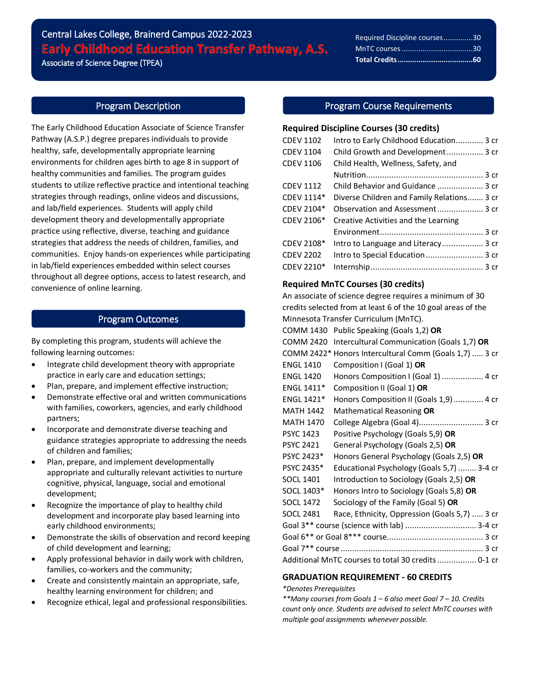# Central Lakes College, Brainerd Campus 2022-2023 Early Childhood Education Transfer Pathway, A.S.

Associate of Science Degree (TPEA)

# Required Discipline courses..............30 MnTC courses..................................30 **Total Credits....................................60**

 $\overline{a}$ 

# Program Description

The Early Childhood Education Associate of Science Transfer Pathway (A.S.P.) degree prepares individuals to provide healthy, safe, developmentally appropriate learning environments for children ages birth to age 8 in support of healthy communities and families. The program guides students to utilize reflective practice and intentional teaching strategies through readings, online videos and discussions, and lab/field experiences. Students will apply child development theory and developmentally appropriate practice using reflective, diverse, teaching and guidance strategies that address the needs of children, families, and communities. Enjoy hands-on experiences while participating in lab/field experiences embedded within select courses throughout all degree options, access to latest research, and convenience of online learning.

# Program Outcomes

By completing this program, students will achieve the following learning outcomes:

- Integrate child development theory with appropriate practice in early care and education settings;
- Plan, prepare, and implement effective instruction;
- Demonstrate effective oral and written communications with families, coworkers, agencies, and early childhood partners;
- Incorporate and demonstrate diverse teaching and guidance strategies appropriate to addressing the needs of children and families;
- Plan, prepare, and implement developmentally appropriate and culturally relevant activities to nurture cognitive, physical, language, social and emotional development;
- Recognize the importance of play to healthy child development and incorporate play based learning into early childhood environments;
- Demonstrate the skills of observation and record keeping of child development and learning;
- Apply professional behavior in daily work with children, families, co-workers and the community;
- Create and consistently maintain an appropriate, safe, healthy learning environment for children; and
- Recognize ethical, legal and professional responsibilities.

# Program Course Requirements

#### **Required Discipline Courses (30 credits)**

| <b>CDEV 1102</b> | Intro to Early Childhood Education 3 cr    |
|------------------|--------------------------------------------|
| <b>CDEV 1104</b> | Child Growth and Development 3 cr          |
| <b>CDEV 1106</b> | Child Health, Wellness, Safety, and        |
|                  |                                            |
| <b>CDEV 1112</b> | Child Behavior and Guidance  3 cr          |
| CDEV 1114*       | Diverse Children and Family Relations 3 cr |
| CDEV 2104*       | Observation and Assessment 3 cr            |
| CDEV 2106*       | Creative Activities and the Learning       |
|                  |                                            |
| CDEV 2108*       | Intro to Language and Literacy 3 cr        |
| <b>CDEV 2202</b> | Intro to Special Education  3 cr           |
| CDEV 2210*       |                                            |

# **Required MnTC Courses (30 credits)**

An associate of science degree requires a minimum of 30 credits selected from at least 6 of the 10 goal areas of the Minnesota Transfer Curriculum (MnTC). COMM 1430 Public Speaking (Goals 1,2) **OR** COMM 2420 Intercultural Communication (Goals 1,7) **OR** COMM 2422\* Honors Intercultural Comm (Goals 1,7) ..... 3 cr ENGL 1410 Composition I (Goal 1) **OR** ENGL 1420 Honors Composition I (Goal 1) .................. 4 cr ENGL 1411\* Composition II (Goal 1) **OR** ENGL 1421\* Honors Composition II (Goals 1,9)............. 4 cr MATH 1442 Mathematical Reasoning **OR** MATH 1470 College Algebra (Goal 4)............................ 3 cr PSYC 1423 Positive Psychology (Goals 5,9) **OR** PSYC 2421 General Psychology (Goals 2,5) **OR** PSYC 2423\* Honors General Psychology (Goals 2,5) **OR** PSYC 2435\* Educational Psychology (Goals 5,7) ........ 3-4 cr SOCL 1401 Introduction to Sociology (Goals 2,5) **OR** SOCL 1403\* Honors Intro to Sociology (Goals 5,8) **OR** SOCL 1472 Sociology of the Family (Goal 5) **OR** SOCL 2481 Race, Ethnicity, Oppression (Goals 5,7) ..... 3 cr Goal 3\*\* course (science with lab) ............................... 3-4 cr Goal 6\*\* or Goal 8\*\*\* course.......................................... 3 cr Goal 7\*\* course.............................................................. 3 cr Additional MnTC courses to total 30 credits................. 0-1 cr

# **GRADUATION REQUIREMENT - 60 CREDITS**

#### *\*Denotes Prerequisites*

*\*\*Many courses from Goals 1 – 6 also meet Goal 7 – 10. Credits count only once. Students are advised to select MnTC courses with multiple goal assignments whenever possible.*